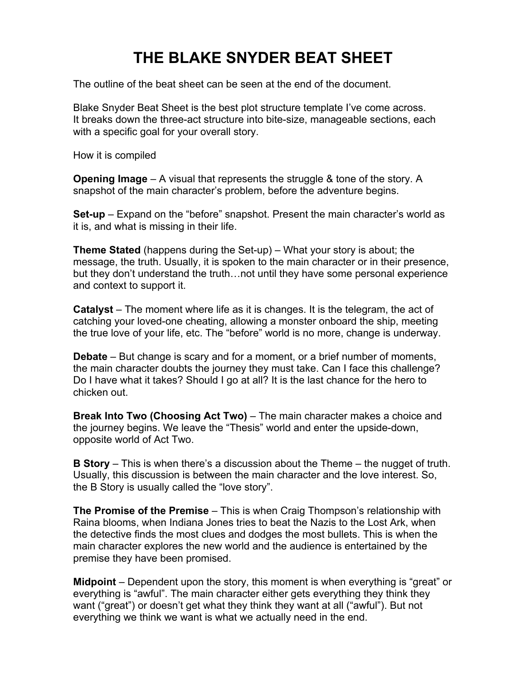## **THE BLAKE SNYDER BEAT SHEET**

The outline of the beat sheet can be seen at the end of the document.

Blake Snyder Beat Sheet is the best plot structure template I've come across. It breaks down the three-act structure into bite-size, manageable sections, each with a specific goal for your overall story.

How it is compiled

**Opening Image** – A visual that represents the struggle & tone of the story. A snapshot of the main character's problem, before the adventure begins.

**Set-up** – Expand on the "before" snapshot. Present the main character's world as it is, and what is missing in their life.

**Theme Stated** (happens during the Set-up) – What your story is about; the message, the truth. Usually, it is spoken to the main character or in their presence, but they don't understand the truth…not until they have some personal experience and context to support it.

**Catalyst** – The moment where life as it is changes. It is the telegram, the act of catching your loved-one cheating, allowing a monster onboard the ship, meeting the true love of your life, etc. The "before" world is no more, change is underway.

**Debate** – But change is scary and for a moment, or a brief number of moments, the main character doubts the journey they must take. Can I face this challenge? Do I have what it takes? Should I go at all? It is the last chance for the hero to chicken out.

**Break Into Two (Choosing Act Two)** – The main character makes a choice and the journey begins. We leave the "Thesis" world and enter the upside-down, opposite world of Act Two.

**B Story** – This is when there's a discussion about the Theme – the nugget of truth. Usually, this discussion is between the main character and the love interest. So, the B Story is usually called the "love story".

**The Promise of the Premise** – This is when Craig Thompson's relationship with Raina blooms, when Indiana Jones tries to beat the Nazis to the Lost Ark, when the detective finds the most clues and dodges the most bullets. This is when the main character explores the new world and the audience is entertained by the premise they have been promised.

**Midpoint** – Dependent upon the story, this moment is when everything is "great" or everything is "awful". The main character either gets everything they think they want ("great") or doesn't get what they think they want at all ("awful"). But not everything we think we want is what we actually need in the end.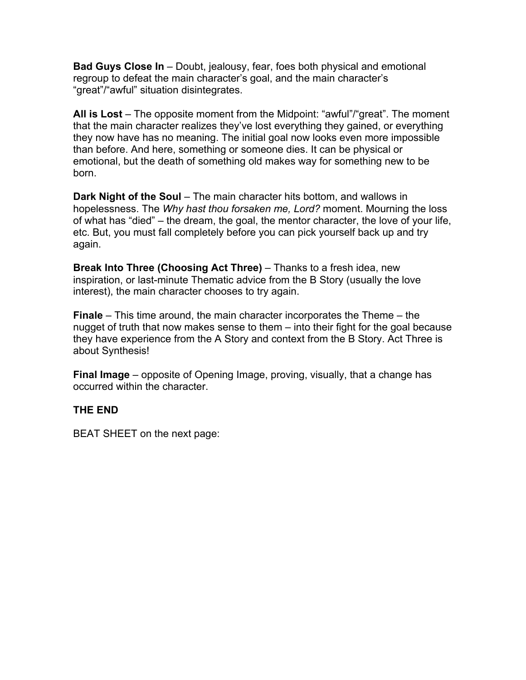**Bad Guys Close In** – Doubt, jealousy, fear, foes both physical and emotional regroup to defeat the main character's goal, and the main character's "great"/"awful" situation disintegrates.

**All is Lost** – The opposite moment from the Midpoint: "awful"/"great". The moment that the main character realizes they've lost everything they gained, or everything they now have has no meaning. The initial goal now looks even more impossible than before. And here, something or someone dies. It can be physical or emotional, but the death of something old makes way for something new to be born.

**Dark Night of the Soul** – The main character hits bottom, and wallows in hopelessness. The *Why hast thou forsaken me, Lord?* moment. Mourning the loss of what has "died" – the dream, the goal, the mentor character, the love of your life, etc. But, you must fall completely before you can pick yourself back up and try again.

**Break Into Three (Choosing Act Three)** – Thanks to a fresh idea, new inspiration, or last-minute Thematic advice from the B Story (usually the love interest), the main character chooses to try again.

**Finale** – This time around, the main character incorporates the Theme – the nugget of truth that now makes sense to them – into their fight for the goal because they have experience from the A Story and context from the B Story. Act Three is about Synthesis!

**Final Image** – opposite of Opening Image, proving, visually, that a change has occurred within the character.

## **THE END**

BEAT SHEET on the next page: